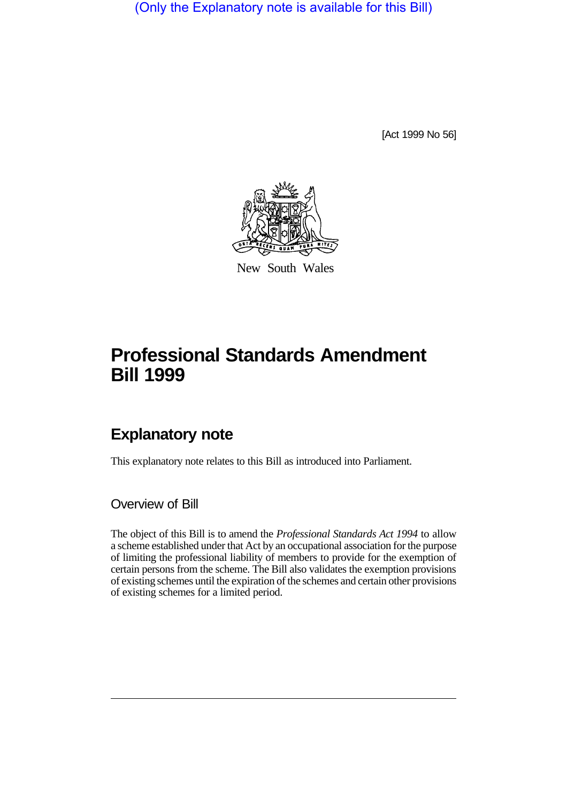(Only the Explanatory note is available for this Bill)

[Act 1999 No 56]



New South Wales

# **Professional Standards Amendment Bill 1999**

## **Explanatory note**

This explanatory note relates to this Bill as introduced into Parliament.

Overview of Bill

The object of this Bill is to amend the *Professional Standards Act 1994* to allow a scheme established under that Act by an occupational association for the purpose of limiting the professional liability of members to provide for the exemption of certain persons from the scheme. The Bill also validates the exemption provisions of existing schemes until the expiration of the schemes and certain other provisions of existing schemes for a limited period.